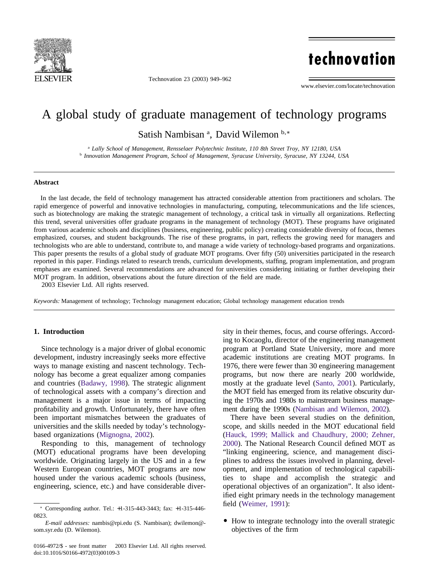

Technovation 23 (2003) 949–962

# technovation

www.elsevier.com/locate/technovation

### A global study of graduate management of technology programs

Satish Nambisan<sup>a</sup>, David Wilemon<sup>b,\*</sup>

<sup>a</sup> *Lally School of Management, Rensselaer Polytechnic Institute, 110 8th Street Troy, NY 12180, USA* <sup>b</sup> *Innovation Management Program, School of Management, Syracuse University, Syracuse, NY 13244, USA*

#### **Abstract**

In the last decade, the field of technology management has attracted considerable attention from practitioners and scholars. The rapid emergence of powerful and innovative technologies in manufacturing, computing, telecommunications and the life sciences, such as biotechnology are making the strategic management of technology, a critical task in virtually all organizations. Reflecting this trend, several universities offer graduate programs in the management of technology (MOT). These programs have originated from various academic schools and disciplines (business, engineering, public policy) creating considerable diversity of focus, themes emphasized, courses, and student backgrounds. The rise of these programs, in part, reflects the growing need for managers and technologists who are able to understand, contribute to, and manage a wide variety of technology-based programs and organizations. This paper presents the results of a global study of graduate MOT programs. Over fifty (50) universities participated in the research reported in this paper. Findings related to research trends, curriculum developments, staffing, program implementation, and program emphases are examined. Several recommendations are advanced for universities considering initiating or further developing their MOT program. In addition, observations about the future direction of the field are made.

2003 Elsevier Ltd. All rights reserved.

*Keywords:* Management of technology; Technology management education; Global technology management education trends

#### **1. Introduction**

Since technology is a major driver of global economic development, industry increasingly seeks more effective ways to manage existing and nascent technology. Technology has become a great equalizer among companies and countries [\(Badawy, 1998\)](#page--1-0). The strategic alignment of technological assets with a company's direction and management is a major issue in terms of impacting profitability and growth. Unfortunately, there have often been important mismatches between the graduates of universities and the skills needed by today's technologybased organizations [\(Mignogna, 2002\)](#page--1-0).

Responding to this, management of technology (MOT) educational programs have been developing worldwide. Originating largely in the US and in a few Western European countries, MOT programs are now housed under the various academic schools (business, engineering, science, etc.) and have considerable diversity in their themes, focus, and course offerings. According to Kocaoglu, director of the engineering management program at Portland State University, more and more academic institutions are creating MOT programs. In 1976, there were fewer than 30 engineering management programs, but now there are nearly 200 worldwide, mostly at the graduate level [\(Santo, 2001\)](#page--1-0). Particularly, the MOT field has emerged from its relative obscurity during the 1970s and 1980s to mainstream business management during the 1990s [\(Nambisan and Wilemon, 2002\)](#page--1-0).

There have been several studies on the definition, scope, and skills needed in the MOT educational field [\(Hauck, 1999; Mallick and Chaudhury, 2000; Zehner,](#page--1-0) [2000\)](#page--1-0). The National Research Council defined MOT as "linking engineering, science, and management disciplines to address the issues involved in planning, development, and implementation of technological capabilities to shape and accomplish the strategic and operational objectives of an organization". It also identified eight primary needs in the technology management field [\(Weimer, 1991\)](#page--1-0):

• How to integrate technology into the overall strategic objectives of the firm

<sup>∗</sup> Corresponding author. Tel.: +1-315-443-3443; fax: +1-315-446- 0823.

*E-mail addresses:* nambis@rpi.edu (S. Nambisan); dwilemon@ som.syr.edu (D. Wilemon).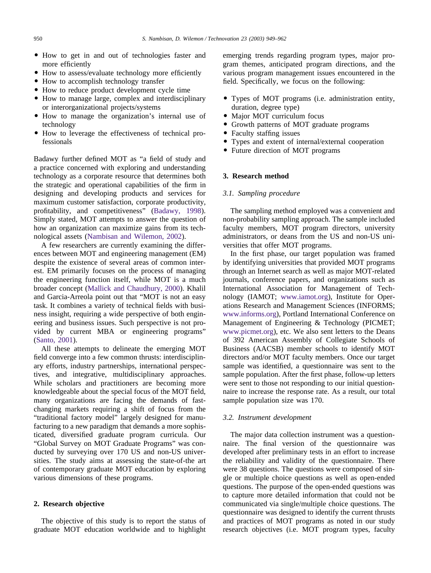- How to get in and out of technologies faster and more efficiently
- How to assess/evaluate technology more efficiently
- How to accomplish technology transfer
- How to reduce product development cycle time
- How to manage large, complex and interdisciplinary or interorganizational projects/systems
- How to manage the organization's internal use of technology
- How to leverage the effectiveness of technical professionals

Badawy further defined MOT as "a field of study and a practice concerned with exploring and understanding technology as a corporate resource that determines both the strategic and operational capabilities of the firm in designing and developing products and services for maximum customer satisfaction, corporate productivity, profitability, and competitiveness" [\(Badawy, 1998\)](#page--1-0). Simply stated, MOT attempts to answer the question of how an organization can maximize gains from its technological assets [\(Nambisan and Wilemon, 2002\)](#page--1-0).

A few researchers are currently examining the differences between MOT and engineering management (EM) despite the existence of several areas of common interest. EM primarily focuses on the process of managing the engineering function itself, while MOT is a much broader concept [\(Mallick and Chaudhury, 2000\)](#page--1-0). Khalil and Garcia-Arreola point out that "MOT is not an easy task. It combines a variety of technical fields with business insight, requiring a wide perspective of both engineering and business issues. Such perspective is not provided by current MBA or engineering programs" [\(Santo, 2001\)](#page--1-0).

All these attempts to delineate the emerging MOT field converge into a few common thrusts: interdisciplinary efforts, industry partnerships, international perspectives, and integrative, multidisciplinary approaches. While scholars and practitioners are becoming more knowledgeable about the special focus of the MOT field, many organizations are facing the demands of fastchanging markets requiring a shift of focus from the "traditional factory model" largely designed for manufacturing to a new paradigm that demands a more sophisticated, diversified graduate program curricula. Our "Global Survey on MOT Graduate Programs" was conducted by surveying over 170 US and non-US universities. The study aims at assessing the state-of-the art of contemporary graduate MOT education by exploring various dimensions of these programs.

#### **2. Research objective**

The objective of this study is to report the status of graduate MOT education worldwide and to highlight emerging trends regarding program types, major program themes, anticipated program directions, and the various program management issues encountered in the field. Specifically, we focus on the following:

- Types of MOT programs (i.e. administration entity, duration, degree type)
- Major MOT curriculum focus
- Growth patterns of MOT graduate programs
- Faculty staffing issues
- Types and extent of internal/external cooperation
- Future direction of MOT programs

#### **3. Research method**

#### *3.1. Sampling procedure*

The sampling method employed was a convenient and non-probability sampling approach. The sample included faculty members, MOT program directors, university administrators, or deans from the US and non-US universities that offer MOT programs.

In the first phase, our target population was framed by identifying universities that provided MOT programs through an Internet search as well as major MOT-related journals, conference papers, and organizations such as International Association for Management of Technology (IAMOT; [www.iamot.org\)](http://www.iamot.org), Institute for Operations Research and Management Sciences (INFORMS; [www.informs.org\)](http://www.informs.org), Portland International Conference on Management of Engineering & Technology (PICMET; [www.picmet.org\)](http://www.picmet.org), etc. We also sent letters to the Deans of 392 American Assembly of Collegiate Schools of Business (AACSB) member schools to identify MOT directors and/or MOT faculty members. Once our target sample was identified, a questionnaire was sent to the sample population. After the first phase, follow-up letters were sent to those not responding to our initial questionnaire to increase the response rate. As a result, our total sample population size was 170.

#### *3.2. Instrument development*

The major data collection instrument was a questionnaire. The final version of the questionnaire was developed after preliminary tests in an effort to increase the reliability and validity of the questionnaire. There were 38 questions. The questions were composed of single or multiple choice questions as well as open-ended questions. The purpose of the open-ended questions was to capture more detailed information that could not be communicated via single/multiple choice questions. The questionnaire was designed to identify the current thrusts and practices of MOT programs as noted in our study research objectives (i.e. MOT program types, faculty